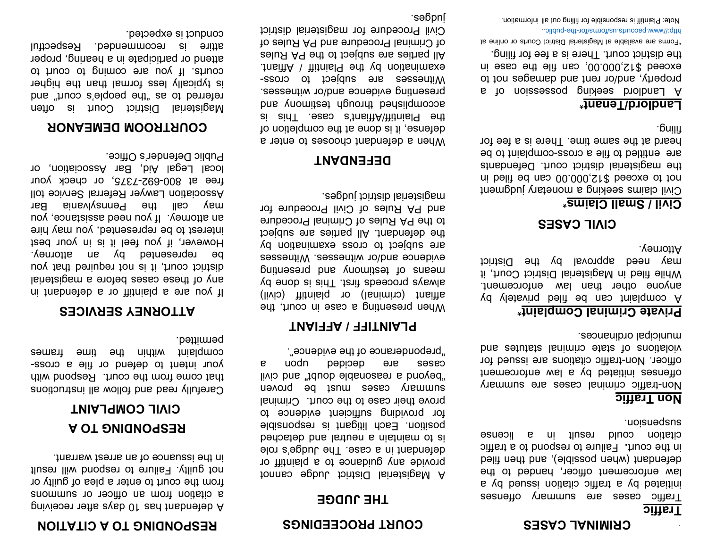#### **CRIMINAL CASES**

# **Traffic**

Traffic cases are summary offenses initiated by a traffic citation issued by a law enforcement officer, handed to the defendant (when possible), and then filed in the court**.** Failure to respond to a traffic citation could result in a license suspension.

# **Non Traffic**

Non-traffic criminal cases are summary offenses initiated by a law enforcement officer. Non-traffic citations are issued for violations of state criminal statutes and municipal ordinances.

### **Private Criminal Complaint\***

A complaint can be filed privately by anyone other than law enforcement. While filed in Magisterial District Court, it may need approval by the District Attorney.

### **CIVIL CASES**

### **Civil / Small Claims\***

Civil claims seeking a monetary judgment not to exceed \$12,000.00 can be filed in the magisterial district court. Defendants are entitled to file a cross-complaint to be heard at the same time. There is a fee for filing.

#### **Landlord/Tenant\***

A Landlord seeking possession of a property, and/or rent and damages not to exceed \$12,000.00, can file the case in the district court. There is a fee for filing.

\*Forms are available at Magisterial District Courts or online at http://www.pacourts.us/forms/for-the-public..

Note: Plaintiff is responsible for filling out all information.

#### **COURT PROCEEDINGS**

# **THE JUDGE**

A Magisterial District Judge cannot provide any guidance to a plaintiff or defendant in a case. The Judge's role is to maintain a neutral and detached position. Each litigant is responsible for providing sufficient evidence to prove their case to the court. Criminal summary cases must be proven "beyond a reasonable doubt" and civil cases are decided upon a "preponderance of the evidence".

# **PLAINTIFF / AFFIANT**

When presenting a case in court, the affiant (criminal) or plaintiff (civil) always proceeds first. This is done by means of testimony and presenting evidence and/or witnesses. Witnesses are subject to cross examination by the defendant. All parties are subject to the PA Rules of Criminal Procedure and PA Rules of Civil Procedure for magisterial district judges.

### **DEFENDANT**

When a defendant chooses to enter a defense, it is done at the completion of the Plaintiff/Affiant's case. This is accomplished through testimony and presenting evidence and/or witnesses. Witnesses are subject to crossexamination by the Plaintiff / Affiant. All parties are subject to the PA Rules of Criminal Procedure and PA Rules of Civil Procedure for magisterial district judges.

# **RESPONDING TO A CITATION**

A defendant has 10 days after receiving a citation from an officer or summons from the court to enter a plea of guilty or not guilty. Failure to respond will result in the issuance of an arrest warrant.

# **RESPONDING TO A CIVIL COMPLAINT**

Carefully read and follow all instructions that come from the court. Respond with your intent to defend or file a crosscomplaint within the time frames permitted.

# **ATTORNEY SERVICES**

If you are a plaintiff or a defendant in any of these cases before a magisterial district court, it is not required that you be represented by an attorney. However, if you feel it is in your best interest to be represented, you may hire an attorney. If you need assistance, you may call the Pennsylvania Bar Association Lawyer Referral Service toll free at 800-692-7375, or check your local Legal Aid, Bar Association, or Public Defender's Office.

# **COURTROOM DEMEANOR**

Magisterial District Court is often referred to as "the people's court" and is typically less formal than the higher courts. If you are coming to court to attend or participate in a hearing, proper attire is recommended. Respectful conduct is expected.